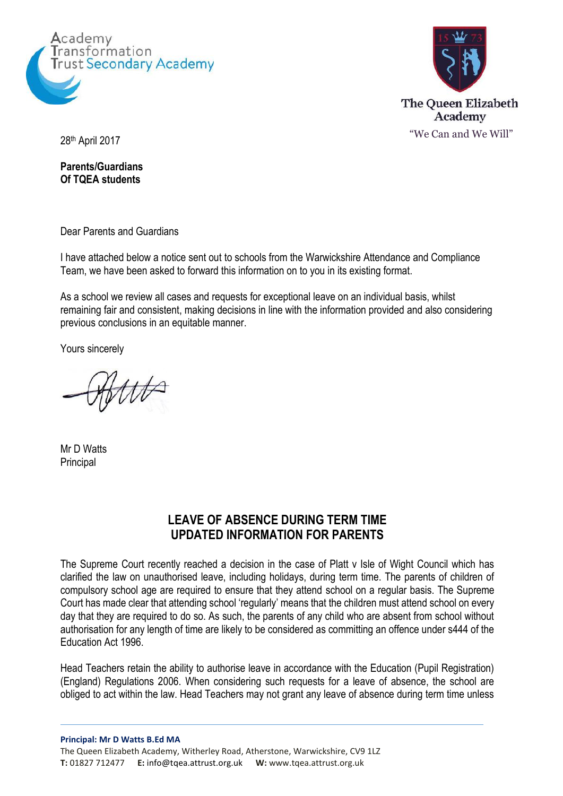



28<sup>th</sup> April 2017

**Parents/Guardians Of TQEA students**

Dear Parents and Guardians

I have attached below a notice sent out to schools from the Warwickshire Attendance and Compliance Team, we have been asked to forward this information on to you in its existing format.

As a school we review all cases and requests for exceptional leave on an individual basis, whilst remaining fair and consistent, making decisions in line with the information provided and also considering previous conclusions in an equitable manner.

Yours sincerely

Mr D Watts Principal

## **LEAVE OF ABSENCE DURING TERM TIME UPDATED INFORMATION FOR PARENTS**

The Supreme Court recently reached a decision in the case of Platt v Isle of Wight Council which has clarified the law on unauthorised leave, including holidays, during term time. The parents of children of compulsory school age are required to ensure that they attend school on a regular basis. The Supreme Court has made clear that attending school 'regularly' means that the children must attend school on every day that they are required to do so. As such, the parents of any child who are absent from school without authorisation for any length of time are likely to be considered as committing an offence under s444 of the Education Act 1996.

Head Teachers retain the ability to authorise leave in accordance with the Education (Pupil Registration) (England) Regulations 2006. When considering such requests for a leave of absence, the school are obliged to act within the law. Head Teachers may not grant any leave of absence during term time unless